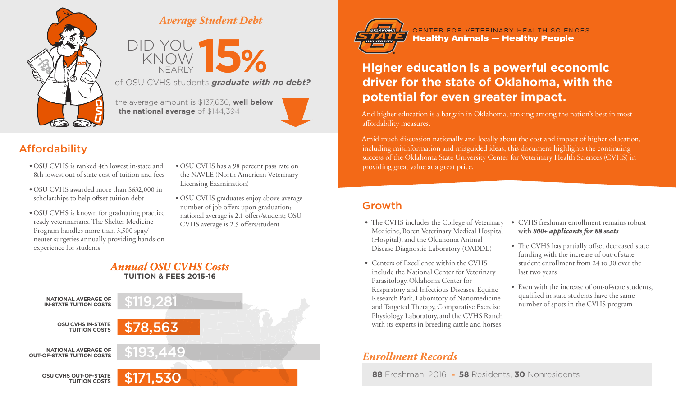

#### **Average Student Debt**



of OSU CVHS students *graduate with no debt?*

the average amount is \$137,630, **well below the national average** of \$144,394



# Affordability

- OSU CVHS is ranked 4th lowest in-state and 8th lowest out-of-state cost of tuition and fees
- OSU CVHS awarded more than \$632,000 in scholarships to help offset tuition debt
- OSU CVHS is known for graduating practice ready veterinarians. The Shelter Medicine Program handles more than 3,500 spay/ neuter surgeries annually providing hands-on experience for students
- OSU CVHS has a 98 percent pass rate on the NAVLE (North American Veterinary Licensing Examination)
- OSU CVHS graduates enjoy above average number of job offers upon graduation; national average is 2.1 offers/student; OSU CVHS average is 2.5 offers/student

#### **Annual OSU CVHS Costs TUITION & FEES 2015-16**





CENTER FOR VETERINARY HEALTH SCIENCES **Healthy Animals - Healthy People** 

# **Higher education is a powerful economic driver for the state of Oklahoma, with the potential for even greater impact.**

And higher education is a bargain in Oklahoma, ranking among the nation's best in most affordability measures.

Amid much discussion nationally and locally about the cost and impact of higher education, including misinformation and misguided ideas, this document highlights the continuing success of the Oklahoma State University Center for Veterinary Health Sciences (CVHS) in providing great value at a great price.

#### Growth

- The CVHS includes the College of Veterinary Medicine, Boren Veterinary Medical Hospital (Hospital), and the Oklahoma Animal Disease Diagnostic Laboratory (OADDL)
- Centers of Excellence within the CVHS include the National Center for Veterinary Parasitology, Oklahoma Center for Respiratory and Infectious Diseases, Equine Research Park, Laboratory of Nanomedicine and Targeted Therapy, Comparative Exercise Physiology Laboratory, and the CVHS Ranch with its experts in breeding cattle and horses

#### **Enrollment Records**

**88** Freshman, 2016 – **58** Residents, **30** Nonresidents

- CVHS freshman enrollment remains robust with **800+ applicants for 88 seats**
- The CVHS has partially offset decreased state funding with the increase of out-of-state student enrollment from 24 to 30 over the last two years
- Even with the increase of out-of-state students, qualified in-state students have the same number of spots in the CVHS program